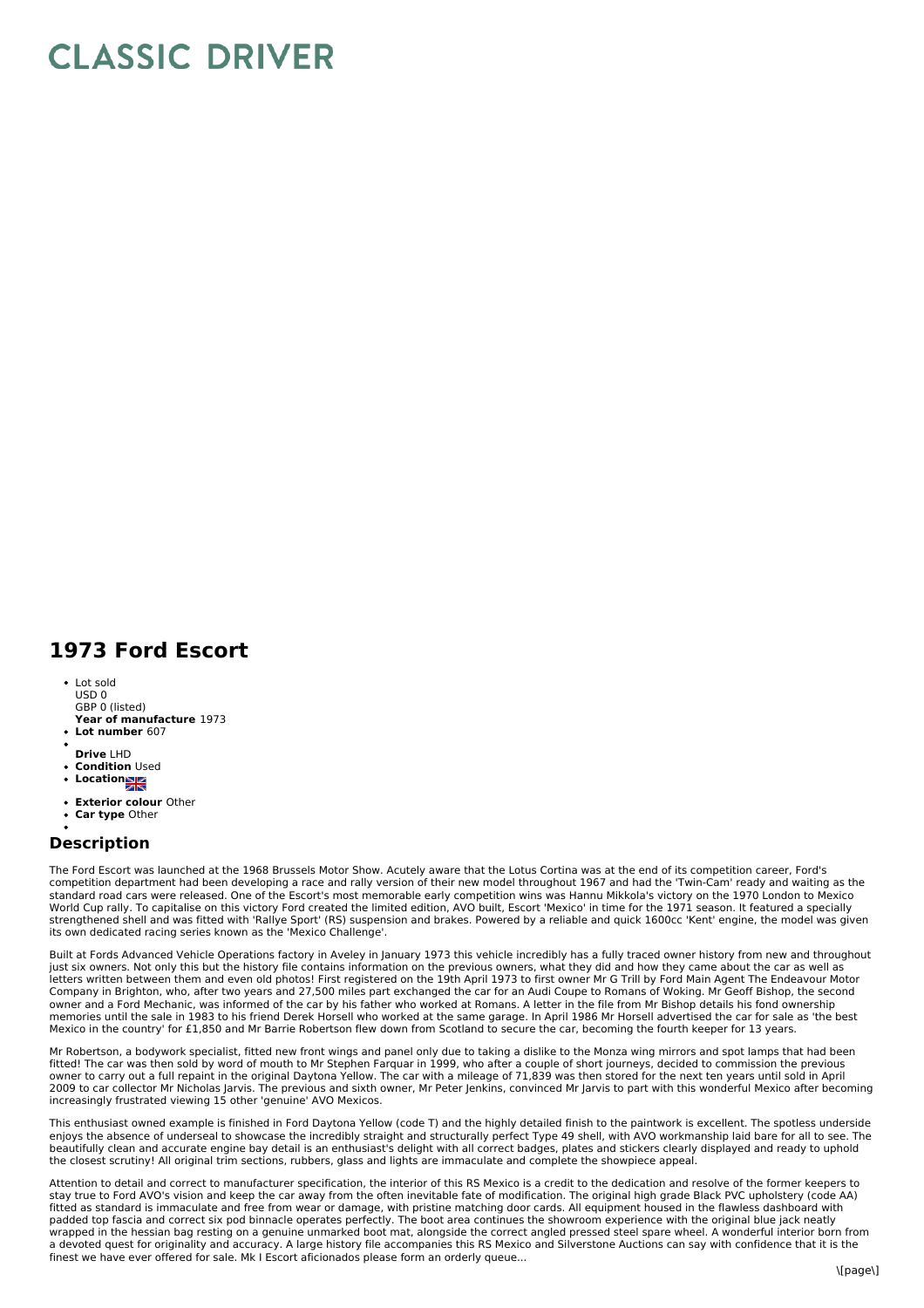## **CLASSIC DRIVER**

## **1973 Ford Escort**

- **Year of manufacture** 1973 Lot sold  $USD<sub>0</sub>$ GBP 0 (listed)
- **Lot number** 607
- **Drive** LHD
- **Condition** Used
- Location
- 
- **Exterior colour** Other  $\bullet$ **Car type** Other
- 

## **Description**

The Ford Escort was launched at the 1968 Brussels Motor Show. Acutely aware that the Lotus Cortina was at the end of its competition career, Ford's competition department had been developing a race and rally version of their new model throughout 1967 and had the 'Twin-Cam' ready and waiting as the standard road cars were released. One of the Escort's most memorable early competition wins was Hannu Mikkola's victory on the 1970 London to Mexico World Cup rally. To capitalise on this victory Ford created the limited edition, AVO built, Escort 'Mexico' in time for the 1971 season. It featured a specially strengthened shell and was fitted with 'Rallye Sport' (RS) suspension and brakes. Powered by a reliable and quick 1600cc 'Kent' engine, the model was given its own dedicated racing series known as the 'Mexico Challenge'.

Built at Fords Advanced Vehicle Operations factory in Aveley in January 1973 this vehicle incredibly has a fully traced owner history from new and throughout just six owners. Not only this but the history file contains information on the previous owners, what they did and how they came about the car as well as letters written between them and even old photos! First registered on the 19th April 1973 to first owner Mr G Trill by Ford Main Agent The Endeavour Motor Company in Brighton, who, after two years and 27,500 miles part exchanged the car for an Audi Coupe to Romans of Woking. Mr Geoff Bishop, the second<br>owner and a Ford Mechanic, was informed of the car by his father who work memories until the sale in 1983 to his friend Derek Horsell who worked at the same garage. In April 1986 Mr Horsell advertised the car for sale as 'the best Mexico in the country' for £1,850 and Mr Barrie Robertson flew down from Scotland to secure the car, becoming the fourth keeper for 13 years.

Mr Robertson, a bodywork specialist, fitted new front wings and panel only due to taking a dislike to the Monza wing mirrors and spot lamps that had been fitted! The car was then sold by word of mouth to Mr Stephen Farquar in 1999, who after a couple of short journeys, decided to commission the previous owner to carry out a full repaint in the original Daytona Yellow. The car with a mileage of 71,839 was then stored for the next ten years until sold in April 2009 to car collector Mr Nicholas Jarvis. The previous and sixth owner, Mr Peter Jenkins, convinced Mr Jarvis to part with this wonderful Mexico after becoming increasingly frustrated viewing 15 other 'genuine' AVO Mexicos.

This enthusiast owned example is finished in Ford Daytona Yellow (code T) and the highly detailed finish to the paintwork is excellent. The spotless underside enjoys the absence of underseal to showcase the incredibly straight and structurally perfect Type 49 shell, with AVO workmanship laid bare for all to see. The<br>beautifully clean and accurate engine bay detail is an enthusia the closest scrutiny! All original trim sections, rubbers, glass and lights are immaculate and complete the showpiece appeal.

Attention to detail and correct to manufacturer specification, the interior of this RS Mexico is a credit to the dedication and resolve of the former keepers to stay true to Ford AVO's vision and keep the car away from the often inevitable fate of modification. The original high grade Black PVC upholstery (code AA)<br>fitted as standard is immaculate and free from wear or damage, wit padded top fascia and correct six pod binnacle operates perfectly. The boot area continues the showroom experience with the original blue jack neatly wrapped in the hessian bag resting on a genuine unmarked boot mat, alongside the correct angled pressed steel spare wheel. A wonderful interior born from a devoted quest for originality and accuracy. A large history file accompanies this RS Mexico and Silverstone Auctions can say with confidence that it is the finest we have ever offered for sale. Mk I Escort aficionados please form an orderly queue...